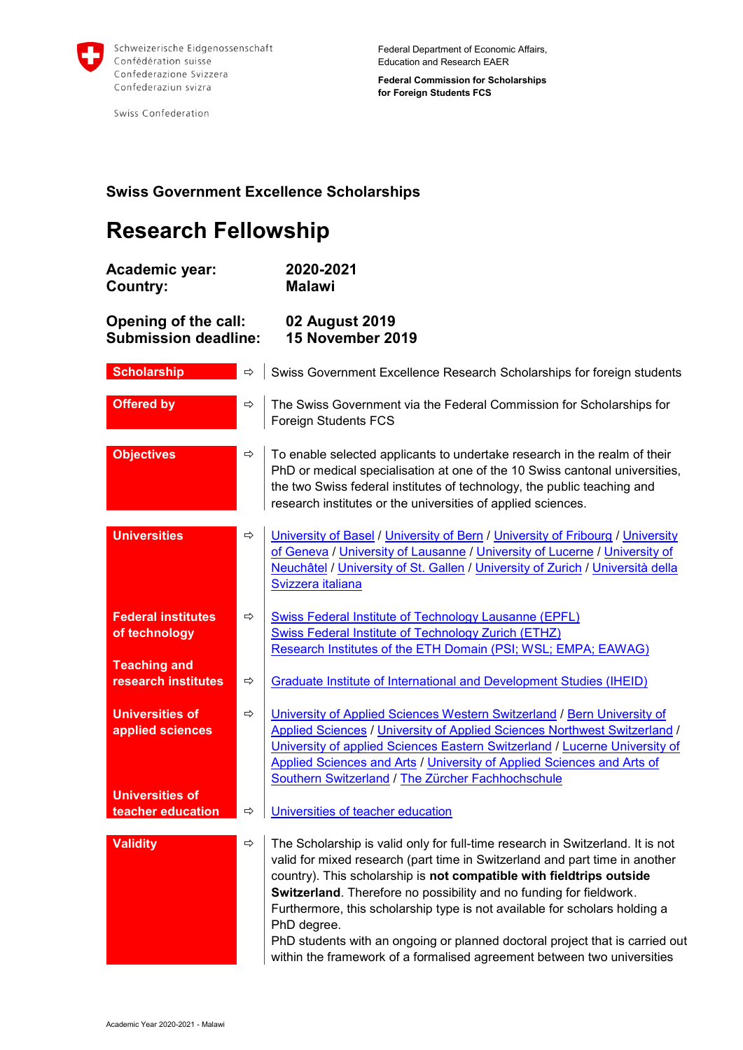

Swiss Confederation

Federal Department of Economic Affairs, Education and Research EAER

**Federal Commission for Scholarships for Foreign Students FCS**

## **Swiss Government Excellence Scholarships**

## **Research Fellowship**

| Academic year:<br>Country:                                           |               | 2020-2021<br><b>Malawi</b>                                                                                                                                                                                                                                                                                                                                                                                                                                                                                                                                           |  |  |
|----------------------------------------------------------------------|---------------|----------------------------------------------------------------------------------------------------------------------------------------------------------------------------------------------------------------------------------------------------------------------------------------------------------------------------------------------------------------------------------------------------------------------------------------------------------------------------------------------------------------------------------------------------------------------|--|--|
| Opening of the call:<br><b>Submission deadline:</b>                  |               | 02 August 2019<br>15 November 2019                                                                                                                                                                                                                                                                                                                                                                                                                                                                                                                                   |  |  |
| <b>Scholarship</b>                                                   | $\Rightarrow$ | Swiss Government Excellence Research Scholarships for foreign students                                                                                                                                                                                                                                                                                                                                                                                                                                                                                               |  |  |
| <b>Offered by</b>                                                    | $\Rightarrow$ | The Swiss Government via the Federal Commission for Scholarships for<br><b>Foreign Students FCS</b>                                                                                                                                                                                                                                                                                                                                                                                                                                                                  |  |  |
| <b>Objectives</b>                                                    | ⇨             | To enable selected applicants to undertake research in the realm of their<br>PhD or medical specialisation at one of the 10 Swiss cantonal universities,<br>the two Swiss federal institutes of technology, the public teaching and<br>research institutes or the universities of applied sciences.                                                                                                                                                                                                                                                                  |  |  |
| <b>Universities</b>                                                  | ⇨             | University of Basel / University of Bern / University of Fribourg / University<br>of Geneva / University of Lausanne / University of Lucerne / University of<br>Neuchâtel / University of St. Gallen / University of Zurich / Università della<br>Svizzera italiana                                                                                                                                                                                                                                                                                                  |  |  |
| <b>Federal institutes</b><br>of technology                           | $\Rightarrow$ | Swiss Federal Institute of Technology Lausanne (EPFL)<br><b>Swiss Federal Institute of Technology Zurich (ETHZ)</b><br>Research Institutes of the ETH Domain (PSI; WSL; EMPA; EAWAG)                                                                                                                                                                                                                                                                                                                                                                                 |  |  |
| <b>Teaching and</b><br>research institutes                           | ⇨             | <b>Graduate Institute of International and Development Studies (IHEID)</b>                                                                                                                                                                                                                                                                                                                                                                                                                                                                                           |  |  |
| <b>Universities of</b><br>applied sciences<br><b>Universities of</b> | $\Rightarrow$ | University of Applied Sciences Western Switzerland / Bern University of<br>Applied Sciences / University of Applied Sciences Northwest Switzerland /<br>University of applied Sciences Eastern Switzerland / Lucerne University of<br>Applied Sciences and Arts / University of Applied Sciences and Arts of<br>Southern Switzerland / The Zürcher Fachhochschule                                                                                                                                                                                                    |  |  |
| teacher education                                                    | ⇨             | Universities of teacher education                                                                                                                                                                                                                                                                                                                                                                                                                                                                                                                                    |  |  |
| <b>Validity</b>                                                      | $\Rightarrow$ | The Scholarship is valid only for full-time research in Switzerland. It is not<br>valid for mixed research (part time in Switzerland and part time in another<br>country). This scholarship is not compatible with fieldtrips outside<br>Switzerland. Therefore no possibility and no funding for fieldwork.<br>Furthermore, this scholarship type is not available for scholars holding a<br>PhD degree.<br>PhD students with an ongoing or planned doctoral project that is carried out<br>within the framework of a formalised agreement between two universities |  |  |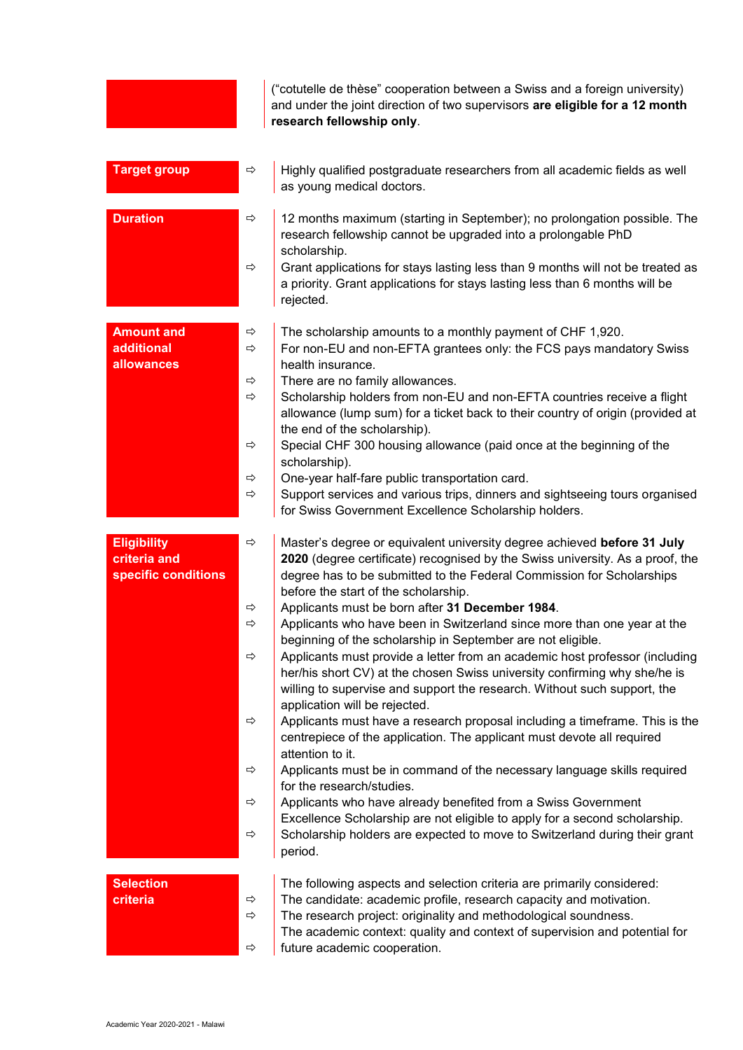("cotutelle de thèse" cooperation between a Swiss and a foreign university) and under the joint direction of two supervisors **are eligible for a 12 month research fellowship only**.

| <b>Target group</b> | $\Rightarrow$ | Highly qualified postgraduate researchers from all academic fields as well<br>as young medical doctors.                                                                                                                              |
|---------------------|---------------|--------------------------------------------------------------------------------------------------------------------------------------------------------------------------------------------------------------------------------------|
| <b>Duration</b>     | ⇨             | 12 months maximum (starting in September); no prolongation possible. The<br>research fellowship cannot be upgraded into a prolongable PhD<br>scholarship.                                                                            |
|                     | ⇨             | Grant applications for stays lasting less than 9 months will not be treated as<br>a priority. Grant applications for stays lasting less than 6 months will be<br>rejected.                                                           |
| <b>Amount and</b>   | ⇨             | The scholarship amounts to a monthly payment of CHF 1,920.                                                                                                                                                                           |
| additional          | ⇨             | For non-EU and non-EFTA grantees only: the FCS pays mandatory Swiss                                                                                                                                                                  |
| allowances          |               | health insurance.                                                                                                                                                                                                                    |
|                     | ⇨             | There are no family allowances.                                                                                                                                                                                                      |
|                     | ⇨             | Scholarship holders from non-EU and non-EFTA countries receive a flight<br>allowance (lump sum) for a ticket back to their country of origin (provided at                                                                            |
|                     | ⇨             | the end of the scholarship).<br>Special CHF 300 housing allowance (paid once at the beginning of the                                                                                                                                 |
|                     |               | scholarship).                                                                                                                                                                                                                        |
|                     | ⇨             | One-year half-fare public transportation card.                                                                                                                                                                                       |
|                     | ⇨             | Support services and various trips, dinners and sightseeing tours organised                                                                                                                                                          |
|                     |               | for Swiss Government Excellence Scholarship holders.                                                                                                                                                                                 |
| <b>Eligibility</b>  | ⇨             | Master's degree or equivalent university degree achieved before 31 July                                                                                                                                                              |
| criteria and        |               | 2020 (degree certificate) recognised by the Swiss university. As a proof, the                                                                                                                                                        |
| specific conditions |               | degree has to be submitted to the Federal Commission for Scholarships                                                                                                                                                                |
|                     |               | before the start of the scholarship.                                                                                                                                                                                                 |
|                     | ⇨             | Applicants must be born after 31 December 1984.                                                                                                                                                                                      |
|                     | ⇨             | Applicants who have been in Switzerland since more than one year at the                                                                                                                                                              |
|                     |               | beginning of the scholarship in September are not eligible.                                                                                                                                                                          |
|                     | ⇨             | Applicants must provide a letter from an academic host professor (including<br>her/his short CV) at the chosen Swiss university confirming why she/he is<br>willing to supervise and support the research. Without such support, the |
|                     |               | application will be rejected.                                                                                                                                                                                                        |
|                     | ⇨             | Applicants must have a research proposal including a timeframe. This is the<br>centrepiece of the application. The applicant must devote all required                                                                                |
|                     |               | attention to it.                                                                                                                                                                                                                     |
|                     | ⇨             | Applicants must be in command of the necessary language skills required                                                                                                                                                              |
|                     | $\Rightarrow$ | for the research/studies.<br>Applicants who have already benefited from a Swiss Government                                                                                                                                           |
|                     |               | Excellence Scholarship are not eligible to apply for a second scholarship.                                                                                                                                                           |
|                     | ⇨             | Scholarship holders are expected to move to Switzerland during their grant                                                                                                                                                           |
|                     |               | period.                                                                                                                                                                                                                              |
| <b>Selection</b>    |               |                                                                                                                                                                                                                                      |
| criteria            | ⇨             | The following aspects and selection criteria are primarily considered:<br>The candidate: academic profile, research capacity and motivation.                                                                                         |
|                     | ⇨             | The research project: originality and methodological soundness.                                                                                                                                                                      |
|                     |               | The academic context: quality and context of supervision and potential for                                                                                                                                                           |
|                     | $\Rightarrow$ | future academic cooperation.                                                                                                                                                                                                         |
|                     |               |                                                                                                                                                                                                                                      |